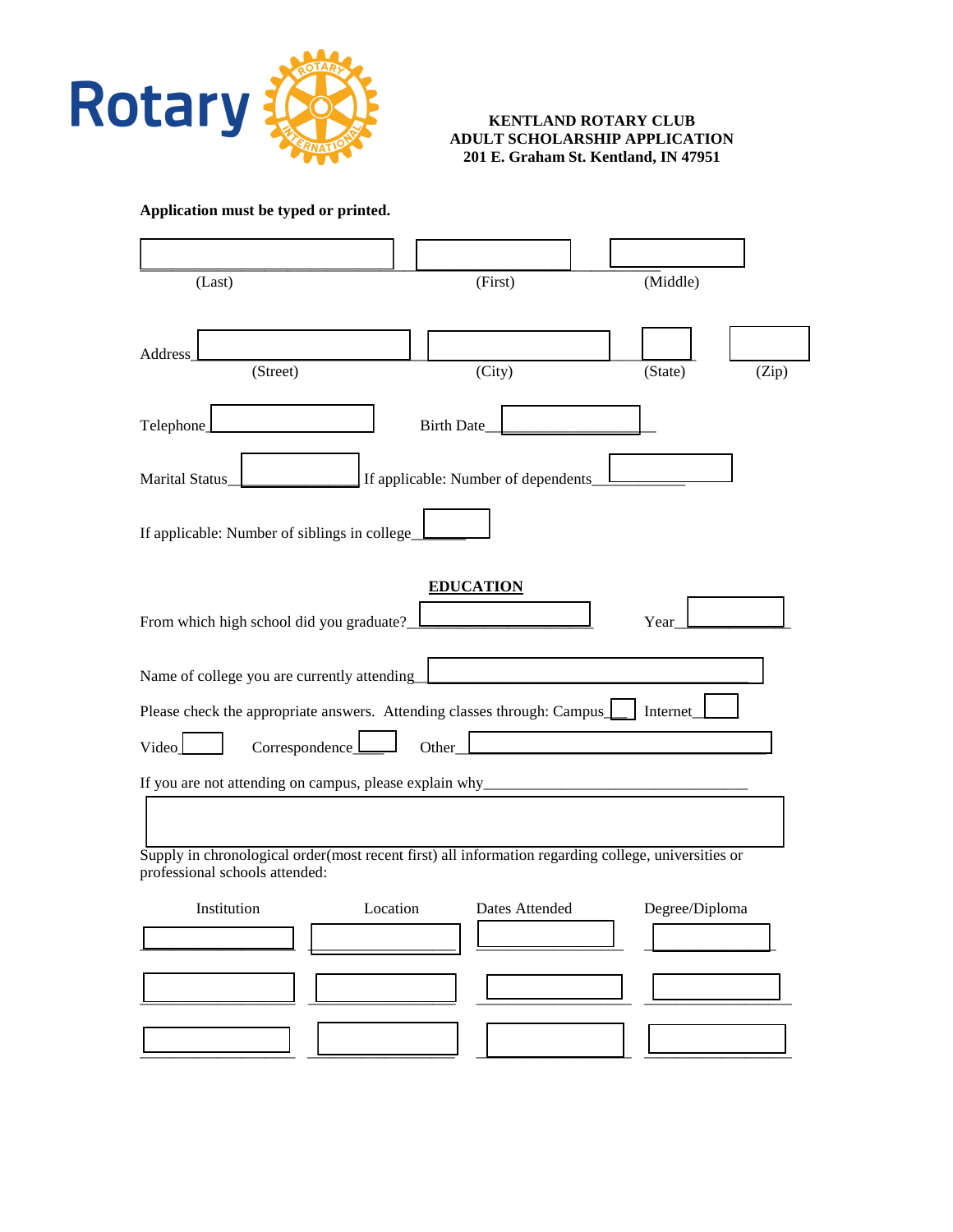

## **KENTLAND ROTARY CLUB ADULT SCHOLARSHIP APPLICATION 201 E. Graham St. Kentland, IN 47951**

**Application must be typed or printed.**

| (Last)                                                                                                                                |                   | (First)                             |      | (Middle)       |       |
|---------------------------------------------------------------------------------------------------------------------------------------|-------------------|-------------------------------------|------|----------------|-------|
| Address<br>(Street)                                                                                                                   |                   | (City)                              |      | (State)        | (Zip) |
| Telephone_                                                                                                                            | <b>Birth Date</b> |                                     |      |                |       |
| Marital Status                                                                                                                        |                   | If applicable: Number of dependents |      |                |       |
| If applicable: Number of siblings in college_                                                                                         |                   |                                     |      |                |       |
| From which high school did you graduate?_                                                                                             |                   | <b>EDUCATION</b>                    | Year |                |       |
| Name of college you are currently attending                                                                                           |                   |                                     |      |                |       |
| Please check the appropriate answers. Attending classes through: Campus                                                               |                   |                                     |      | Internet       |       |
| Correspondence_<br>Video                                                                                                              | Other             |                                     |      |                |       |
| If you are not attending on campus, please explain why_                                                                               |                   |                                     |      |                |       |
|                                                                                                                                       |                   |                                     |      |                |       |
| Supply in chronological order(most recent first) all information regarding college, universities or<br>professional schools attended: |                   |                                     |      |                |       |
| Institution                                                                                                                           | Location          | Dates Attended                      |      | Degree/Diploma |       |
|                                                                                                                                       |                   |                                     |      |                |       |
|                                                                                                                                       |                   |                                     |      |                |       |
|                                                                                                                                       |                   |                                     |      |                |       |
|                                                                                                                                       |                   |                                     |      |                |       |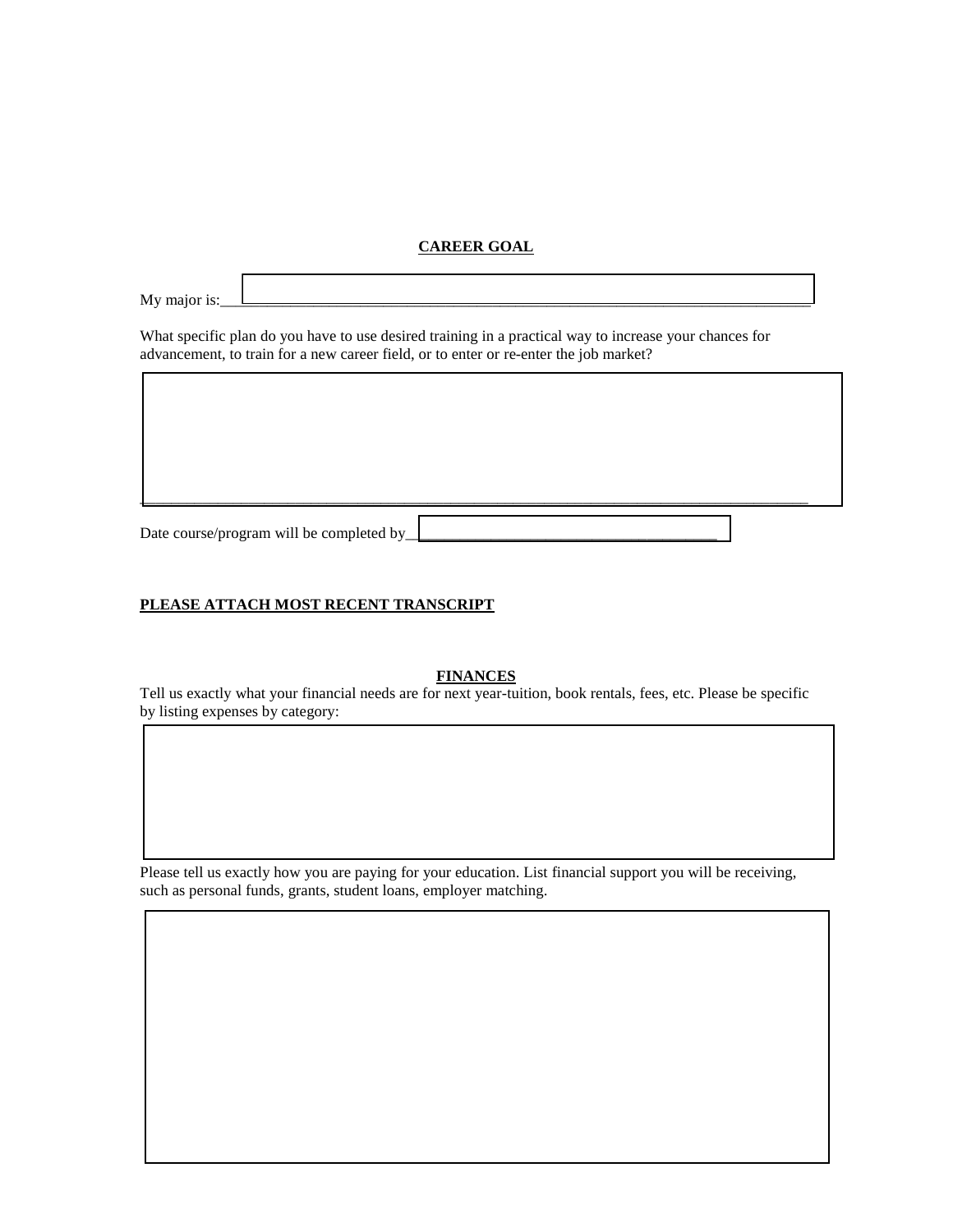## **CAREER GOAL**

My major is:

What specific plan do you have to use desired training in a practical way to increase your chances for advancement, to train for a new career field, or to enter or re-enter the job market?

Date course/program will be completed by<br>Date course/program will be completed by

## **PLEASE ATTACH MOST RECENT TRANSCRIPT**

**FINANCES**

\_\_\_\_\_\_\_\_\_\_\_\_\_\_\_\_\_\_\_\_\_\_\_\_\_\_\_\_\_\_\_\_\_\_\_\_\_\_\_\_\_\_\_\_\_\_\_\_\_\_\_\_\_\_\_\_\_\_\_\_\_\_\_\_\_\_\_\_\_\_\_\_\_\_\_\_\_\_\_\_\_\_\_\_\_\_

Tell us exactly what your financial needs are for next year-tuition, book rentals, fees, etc. Please be specific by listing expenses by category:

Please tell us exactly how you are paying for your education. List financial support you will be receiving, such as personal funds, grants, student loans, employer matching.